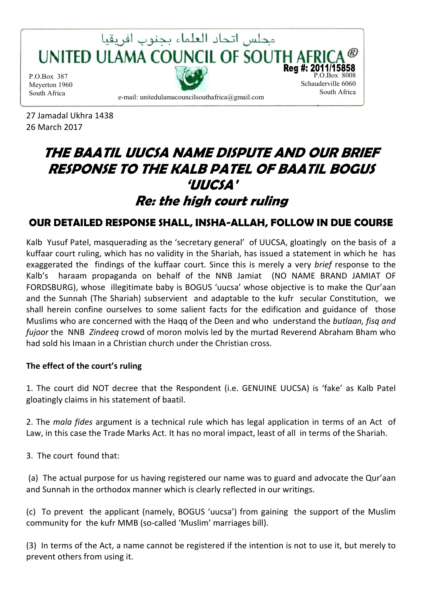

27 Jamadal Ukhra 1438 26 March 2017

# **THE BAATIL UUCSA NAME DISPUTE AND OUR BRIEF RESPONSE TO THE KALB PATEL OF BAATIL BOGUS 'UUCSA' Re: the high court ruling**

# **OUR DETAILED RESPONSE SHALL, INSHA-ALLAH, FOLLOW IN DUE COURSE**

Kalb Yusuf Patel, masquerading as the 'secretary general' of UUCSA, gloatingly on the basis of a kuffaar court ruling, which has no validity in the Shariah, has issued a statement in which he has exaggerated the findings of the kuffaar court. Since this is merely a very *brief* response to the Kalb's haraam propaganda on behalf of the NNB Jamiat (NO NAME BRAND JAMIAT OF FORDSBURG), whose illegitimate baby is BOGUS 'uucsa' whose objective is to make the Qur'aan and the Sunnah (The Shariah) subservient and adaptable to the kufr secular Constitution, we shall herein confine ourselves to some salient facts for the edification and guidance of those Muslims who are concerned with the Haqq of the Deen and who understand the *butlaan, fisq and fujoor* the NNB *Zindeeq* crowd of moron molvis led by the murtad Reverend Abraham Bham who had sold his Imaan in a Christian church under the Christian cross.

#### **The effect of the court's ruling**

1. The court did NOT decree that the Respondent (i.e. GENUINE UUCSA) is 'fake' as Kalb Patel gloatingly claims in his statement of baatil.

2. The *mala fides* argument is a technical rule which has legal application in terms of an Act of Law, in this case the Trade Marks Act. It has no moral impact, least of all in terms of the Shariah.

3. The court found that:

 (a) The actual purpose for us having registered our name was to guard and advocate the Qur'aan and Sunnah in the orthodox manner which is clearly reflected in our writings.

(c) To prevent the applicant (namely, BOGUS 'uucsa') from gaining the support of the Muslim community for the kufr MMB (so-called 'Muslim' marriages bill).

(3) In terms of the Act, a name cannot be registered if the intention is not to use it, but merely to prevent others from using it.